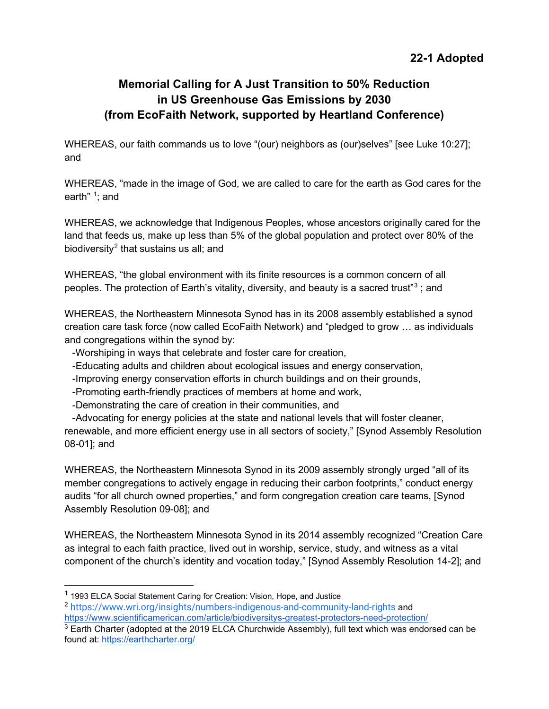## **Memorial Calling for A Just Transition to 50% Reduction in US Greenhouse Gas Emissions by 2030 (from EcoFaith Network, supported by Heartland Conference)**

WHEREAS, our faith commands us to love "(our) neighbors as (our)selves" [see Luke 10:27]; and

WHEREAS, "made in the image of God, we are called to care for the earth as God cares for the earth" <sup>[1](#page-0-0)</sup>; and

WHEREAS, we acknowledge that Indigenous Peoples, whose ancestors originally cared for the land that feeds us, make up less than 5% of the global population and protect over 80% of the biodiversity<sup>[2](#page-0-1)</sup> that sustains us all; and

WHEREAS, "the global environment with its finite resources is a common concern of all peoples. The protection of Earth's vitality, diversity, and beauty is a sacred trust"[3](#page-0-2) ; and

WHEREAS, the Northeastern Minnesota Synod has in its 2008 assembly established a synod creation care task force (now called EcoFaith Network) and "pledged to grow … as individuals and congregations within the synod by:

-Worshiping in ways that celebrate and foster care for creation,

- -Educating adults and children about ecological issues and energy conservation,
- -Improving energy conservation efforts in church buildings and on their grounds,
- -Promoting earth-friendly practices of members at home and work,
- -Demonstrating the care of creation in their communities, and

 -Advocating for energy policies at the state and national levels that will foster cleaner, renewable, and more efficient energy use in all sectors of society," [Synod Assembly Resolution 08-01]; and

WHEREAS, the Northeastern Minnesota Synod in its 2009 assembly strongly urged "all of its member congregations to actively engage in reducing their carbon footprints," conduct energy audits "for all church owned properties," and form congregation creation care teams, [Synod Assembly Resolution 09-08]; and

WHEREAS, the Northeastern Minnesota Synod in its 2014 assembly recognized "Creation Care as integral to each faith practice, lived out in worship, service, study, and witness as a vital component of the church's identity and vocation today," [Synod Assembly Resolution 14-2]; and

<span id="page-0-0"></span><sup>&</sup>lt;sup>1</sup> 1993 ELCA Social Statement Caring for Creation: Vision, Hope, and Justice

<span id="page-0-1"></span><sup>2</sup> <https://www.wri.org/insights/numbers-indigenous-and-community-land-rights> and <https://www.scientificamerican.com/article/biodiversitys-greatest-protectors-need-protection/>

<span id="page-0-2"></span> $3$  Earth Charter (adopted at the 2019 ELCA Churchwide Assembly), full text which was endorsed can be found at: <https://earthcharter.org/>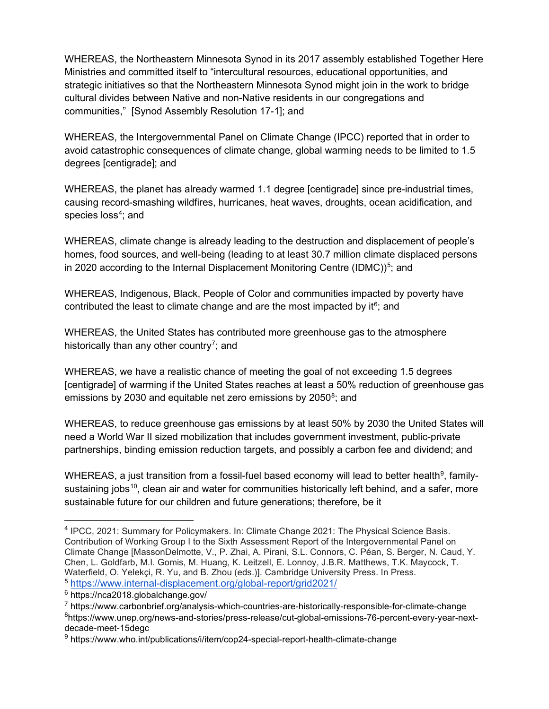WHEREAS, the Northeastern Minnesota Synod in its 2017 assembly established Together Here Ministries and committed itself to "intercultural resources, educational opportunities, and strategic initiatives so that the Northeastern Minnesota Synod might join in the work to bridge cultural divides between Native and non-Native residents in our congregations and communities," [Synod Assembly Resolution 17-1]; and

WHEREAS, the Intergovernmental Panel on Climate Change (IPCC) reported that in order to avoid catastrophic consequences of climate change, global warming needs to be limited to 1.5 degrees [centigrade]; and

WHEREAS, the planet has already warmed 1.1 degree [centigrade] since pre-industrial times, causing record-smashing wildfires, hurricanes, heat waves, droughts, ocean acidification, and species loss<sup>[4](#page-1-0)</sup>; and

WHEREAS, climate change is already leading to the destruction and displacement of people's homes, food sources, and well-being (leading to at least 30.7 million climate displaced persons in 2020 according to the Internal Displacement Monitoring Centre (IDMC)) $^5$  $^5$ ; and

WHEREAS, Indigenous, Black, People of Color and communities impacted by poverty have contributed the least to climate change and are the most impacted by it $6$ ; and

WHEREAS, the United States has contributed more greenhouse gas to the atmosphere historically than any other country<sup>7</sup>; and

WHEREAS, we have a realistic chance of meeting the goal of not exceeding 1.5 degrees [centigrade] of warming if the United States reaches at least a 50% reduction of greenhouse gas emissions by 2030 and equitable net zero emissions by 2050<sup>[8](#page-1-4)</sup>; and

WHEREAS, to reduce greenhouse gas emissions by at least 50% by 2030 the United States will need a World War II sized mobilization that includes government investment, public-private partnerships, binding emission reduction targets, and possibly a carbon fee and dividend; and

WHEREAS, a just transition from a fossil-fuel based economy will lead to better health $^9$ , family-sustaining jobs<sup>[10](#page-1-4)</sup>, clean air and water for communities historically left behind, and a safer, more sustainable future for our children and future generations; therefore, be it

<span id="page-1-0"></span><sup>4</sup> IPCC, 2021: Summary for Policymakers. In: Climate Change 2021: The Physical Science Basis. Contribution of Working Group I to the Sixth Assessment Report of the Intergovernmental Panel on Climate Change [MassonDelmotte, V., P. Zhai, A. Pirani, S.L. Connors, C. Péan, S. Berger, N. Caud, Y. Chen, L. Goldfarb, M.I. Gomis, M. Huang, K. Leitzell, E. Lonnoy, J.B.R. Matthews, T.K. Maycock, T. Waterfield, O. Yelekçi, R. Yu, and B. Zhou (eds.)]. Cambridge University Press. In Press. <sup>5</sup> <https://www.internal-displacement.org/global-report/grid2021/>

<span id="page-1-2"></span><span id="page-1-1"></span><sup>6</sup> https://nca2018.globalchange.gov/

<span id="page-1-3"></span><sup>7</sup> https://www.carbonbrief.org/analysis-which-countries-are-historically-responsible-for-climate-change

<span id="page-1-4"></span><sup>&</sup>lt;sup>8</sup>https://www.unep.org/news-and-stories/press-release/cut-global-emissions-76-percent-every-year-nextdecade-meet-15degc

<span id="page-1-5"></span><sup>9</sup> https://www.who.int/publications/i/item/cop24-special-report-health-climate-change